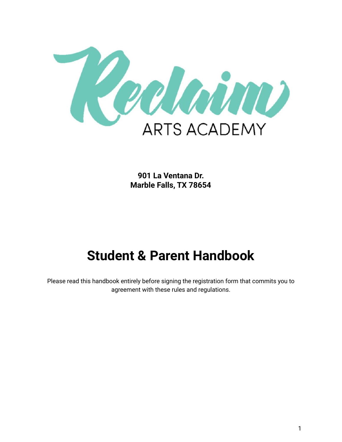

**901 La Ventana Dr. Marble Falls, TX 78654**

# **Student & Parent Handbook**

Please read this handbook entirely before signing the registration form that commits you to agreement with these rules and regulations.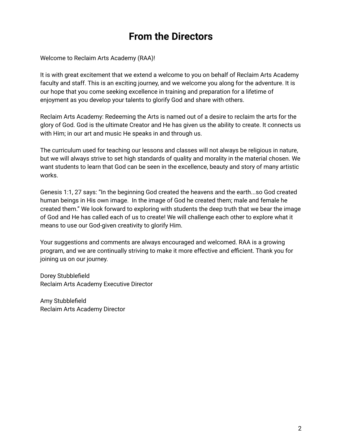# **From the Directors**

Welcome to Reclaim Arts Academy (RAA)!

It is with great excitement that we extend a welcome to you on behalf of Reclaim Arts Academy faculty and staff. This is an exciting journey, and we welcome you along for the adventure. It is our hope that you come seeking excellence in training and preparation for a lifetime of enjoyment as you develop your talents to glorify God and share with others.

Reclaim Arts Academy: Redeeming the Arts is named out of a desire to reclaim the arts for the glory of God. God is the ultimate Creator and He has given us the ability to create. It connects us with Him; in our art and music He speaks in and through us.

The curriculum used for teaching our lessons and classes will not always be religious in nature, but we will always strive to set high standards of quality and morality in the material chosen. We want students to learn that God can be seen in the excellence, beauty and story of many artistic works.

Genesis 1:1, 27 says: "In the beginning God created the heavens and the earth...so God created human beings in His own image. In the image of God he created them; male and female he created them." We look forward to exploring with students the deep truth that we bear the image of God and He has called each of us to create! We will challenge each other to explore what it means to use our God-given creativity to glorify Him.

Your suggestions and comments are always encouraged and welcomed. RAA is a growing program, and we are continually striving to make it more effective and efficient. Thank you for joining us on our journey.

Dorey Stubblefield Reclaim Arts Academy Executive Director

Amy Stubblefield Reclaim Arts Academy Director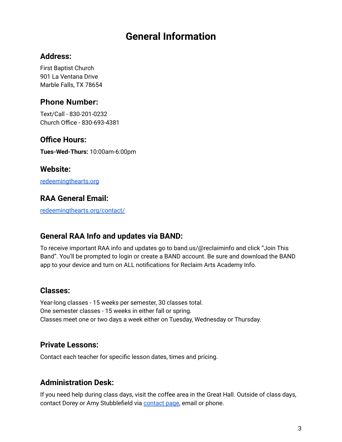# **General Information**

#### **Address:**

First Baptist Church 901 La Ventana Drive Marble Falls, TX 78654

### **Phone Number:**

Text/Call - 830-201-0232 Church Office - 830-693-4381

#### **Office Hours:**

**Tues-Wed-Thurs:** 10:00am-6:00pm

#### **Website:**

[redeemingthearts.org](http://www.redeemingthearts.org)

### **RAA General Email:**

[redeemingthearts.org/contact/](http://redeemingthearts.org/contact/)

### **General RAA Info and updates via BAND:**

To receive important RAA info and updates go to band.us/@reclaiminfo and click "Join This Band". You'll be prompted to login or create a BAND account. Be sure and download the BAND app to your device and turn on ALL notifications for Reclaim Arts Academy Info.

#### **Classes:**

Year-long classes - 15 weeks per semester, 30 classes total. One semester classes - 15 weeks in either fall or spring. Classes meet one or two days a week either on Tuesday, Wednesday or Thursday.

### **Private Lessons:**

Contact each teacher for specific lesson dates, times and pricing.

### **Administration Desk:**

If you need help during class days, visit the coffee area in the Great Hall. Outside of class days, [contact](http://redeemingthearts.org/contact/) Dorey or Amy Stubblefield via contact page, email or phone.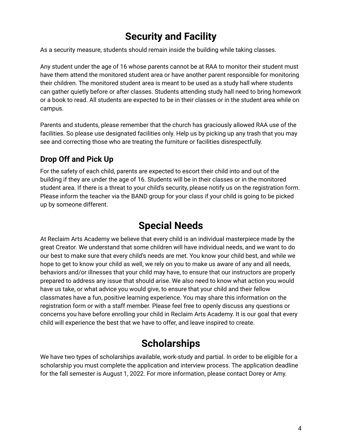# **Security and Facility**

As a security measure, students should remain inside the building while taking classes.

Any student under the age of 16 whose parents cannot be at RAA to monitor their student must have them attend the monitored student area or have another parent responsible for monitoring their children. The monitored student area is meant to be used as a study hall where students can gather quietly before or after classes. Students attending study hall need to bring homework or a book to read. All students are expected to be in their classes or in the student area while on campus.

Parents and students, please remember that the church has graciously allowed RAA use of the facilities. So please use designated facilities only. Help us by picking up any trash that you may see and correcting those who are treating the furniture or facilities disrespectfully.

### **Drop Off and Pick Up**

For the safety of each child, parents are expected to escort their child into and out of the building if they are under the age of 16. Students will be in their classes or in the monitored student area. If there is a threat to your child's security, please notify us on the registration form. Please inform the teacher via the BAND group for your class if your child is going to be picked up by someone different.

# **Special Needs**

At Reclaim Arts Academy we believe that every child is an individual masterpiece made by the great Creator. We understand that some children will have individual needs, and we want to do our best to make sure that every child's needs are met. You know your child best, and while we hope to get to know your child as well, we rely on you to make us aware of any and all needs, behaviors and/or illnesses that your child may have, to ensure that our instructors are properly prepared to address any issue that should arise. We also need to know what action you would have us take, or what advice you would give, to ensure that your child and their fellow classmates have a fun, positive learning experience. You may share this information on the registration form or with a staff member. Please feel free to openly discuss any questions or concerns you have before enrolling your child in Reclaim Arts Academy. It is our goal that every child will experience the best that we have to offer, and leave inspired to create.

# **Scholarships**

We have two types of scholarships available, work-study and partial. In order to be eligible for a scholarship you must complete the application and interview process. The application deadline for the fall semester is August 1, 2022. For more information, please contact Dorey or Amy.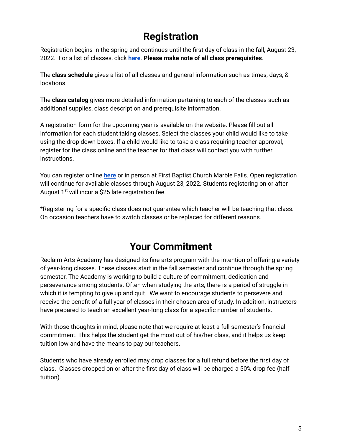# **Registration**

Registration begins in the spring and continues until the first day of class in the fall, August 23, 2022. For a list of classes, click **[here](http://redeemingthearts.org/classes)**. **Please make note of all class prerequisites**.

The **class schedule** gives a list of all classes and general information such as times, days, & locations.

The **class catalog** gives more detailed information pertaining to each of the classes such as additional supplies, class description and prerequisite information.

A registration form for the upcoming year is available on the website. Please fill out all information for each student taking classes. Select the classes your child would like to take using the drop down boxes. If a child would like to take a class requiring teacher approval, register for the class online and the teacher for that class will contact you with further instructions.

You can register online **[here](http://redeemingthearts.org/registration/)** or in person at First Baptist Church Marble Falls. Open registration will continue for available classes through August 23, 2022. Students registering on or after August 1<sup>st</sup> will incur a \$25 late registration fee.

\*Registering for a specific class does not guarantee which teacher will be teaching that class. On occasion teachers have to switch classes or be replaced for different reasons.

# **Your Commitment**

Reclaim Arts Academy has designed its fine arts program with the intention of offering a variety of year-long classes. These classes start in the fall semester and continue through the spring semester. The Academy is working to build a culture of commitment, dedication and perseverance among students. Often when studying the arts, there is a period of struggle in which it is tempting to give up and quit. We want to encourage students to persevere and receive the benefit of a full year of classes in their chosen area of study. In addition, instructors have prepared to teach an excellent year-long class for a specific number of students.

With those thoughts in mind, please note that we require at least a full semester's financial commitment. This helps the student get the most out of his/her class, and it helps us keep tuition low and have the means to pay our teachers.

Students who have already enrolled may drop classes for a full refund before the first day of class. Classes dropped on or after the first day of class will be charged a 50% drop fee (half tuition).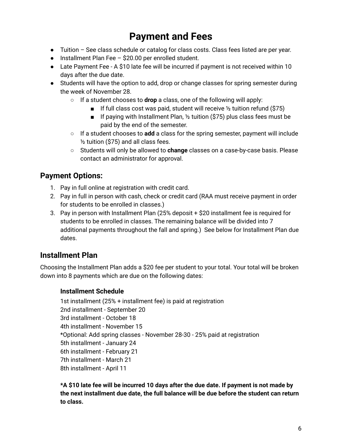# **Payment and Fees**

- Tuition See class schedule or catalog for class costs. Class fees listed are per year.
- Installment Plan Fee \$20.00 per enrolled student.
- Late Payment Fee A \$10 late fee will be incurred if payment is not received within 10 days after the due date.
- Students will have the option to add, drop or change classes for spring semester during the week of November 28.
	- If a student chooses to **drop** a class, one of the following will apply:
		- **F** If full class cost was paid, student will receive  $\frac{1}{2}$  tuition refund (\$75)
		- $\blacksquare$  If paying with Installment Plan, 1/2 tuition (\$75) plus class fees must be paid by the end of the semester.
	- If a student chooses to **add** a class for the spring semester, payment will include ½ tuition (\$75) and all class fees.
	- Students will only be allowed to **change** classes on a case-by-case basis. Please contact an administrator for approval.

### **Payment Options:**

- 1. Pay in full online at registration with credit card.
- 2. Pay in full in person with cash, check or credit card (RAA must receive payment in order for students to be enrolled in classes.)
- 3. Pay in person with Installment Plan (25% deposit + \$20 installment fee is required for students to be enrolled in classes. The remaining balance will be divided into 7 additional payments throughout the fall and spring.) See below for Installment Plan due dates.

### **Installment Plan**

Choosing the Installment Plan adds a \$20 fee per student to your total. Your total will be broken down into 8 payments which are due on the following dates:

#### **Installment Schedule**

1st installment (25% + installment fee) is paid at registration 2nd installment - September 20 3rd installment - October 18 4th installment - November 15 \*Optional: Add spring classes - November 28-30 - 25% paid at registration 5th installment - January 24 6th installment - February 21 7th installment - March 21 8th installment - April 11

**\*A \$10 late fee will be incurred 10 days after the due date. If payment is not made by the next installment due date, the full balance will be due before the student can return to class.**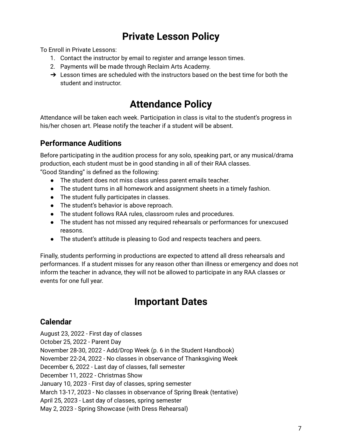# **Private Lesson Policy**

To Enroll in Private Lessons:

- 1. Contact the instructor by email to register and arrange lesson times.
- 2. Payments will be made through Reclaim Arts Academy.
- $\rightarrow$  Lesson times are scheduled with the instructors based on the best time for both the student and instructor.

# **Attendance Policy**

Attendance will be taken each week. Participation in class is vital to the student's progress in his/her chosen art. Please notify the teacher if a student will be absent.

### **Performance Auditions**

Before participating in the audition process for any solo, speaking part, or any musical/drama production, each student must be in good standing in all of their RAA classes. "Good Standing" is defined as the following:

- The student does not miss class unless parent emails teacher.
- The student turns in all homework and assignment sheets in a timely fashion.
- The student fully participates in classes.
- The student's behavior is above reproach.
- The student follows RAA rules, classroom rules and procedures.
- The student has not missed any required rehearsals or performances for unexcused reasons.
- The student's attitude is pleasing to God and respects teachers and peers.

Finally, students performing in productions are expected to attend all dress rehearsals and performances. If a student misses for any reason other than illness or emergency and does not inform the teacher in advance, they will not be allowed to participate in any RAA classes or events for one full year.

# **Important Dates**

### **Calendar**

August 23, 2022 - First day of classes October 25, 2022 - Parent Day November 28-30, 2022 - Add/Drop Week (p. 6 in the Student Handbook) November 22-24, 2022 - No classes in observance of Thanksgiving Week December 6, 2022 - Last day of classes, fall semester December 11, 2022 - Christmas Show January 10, 2023 - First day of classes, spring semester March 13-17, 2023 - No classes in observance of Spring Break (tentative) April 25, 2023 - Last day of classes, spring semester May 2, 2023 - Spring Showcase (with Dress Rehearsal)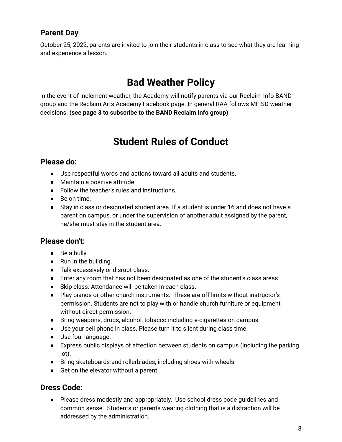### **Parent Day**

October 25, 2022, parents are invited to join their students in class to see what they are learning and experience a lesson.

# **Bad Weather Policy**

In the event of inclement weather, the Academy will notify parents via our Reclaim Info BAND group and the Reclaim Arts Academy Facebook page. In general RAA follows MFISD weather decisions. **(see page 3 to subscribe to the BAND Reclaim Info group)**

# **Student Rules of Conduct**

### **Please do:**

- Use respectful words and actions toward all adults and students.
- Maintain a positive attitude.
- Follow the teacher's rules and instructions.
- Be on time.
- Stay in class or designated student area. If a student is under 16 and does not have a parent on campus, or under the supervision of another adult assigned by the parent, he/she must stay in the student area.

### **Please don't:**

- Be a bully.
- Run in the building.
- Talk excessively or disrupt class.
- Enter any room that has not been designated as one of the student's class areas.
- Skip class. Attendance will be taken in each class.
- Play pianos or other church instruments. These are off limits without instructor's permission. Students are not to play with or handle church furniture or equipment without direct permission.
- Bring weapons, drugs, alcohol, tobacco including e-cigarettes on campus.
- Use your cell phone in class. Please turn it to silent during class time.
- Use foul language.
- Express public displays of affection between students on campus (including the parking lot).
- Bring skateboards and rollerblades, including shoes with wheels.
- Get on the elevator without a parent.

### **Dress Code:**

● Please dress modestly and appropriately. Use school dress code guidelines and common sense. Students or parents wearing clothing that is a distraction will be addressed by the administration.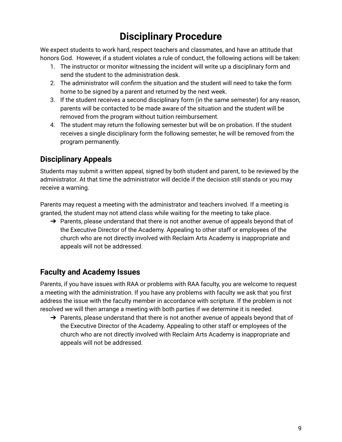# **Disciplinary Procedure**

We expect students to work hard, respect teachers and classmates, and have an attitude that honors God. However, if a student violates a rule of conduct, the following actions will be taken:

- 1. The instructor or monitor witnessing the incident will write up a disciplinary form and send the student to the administration desk.
- 2. The administrator will confirm the situation and the student will need to take the form home to be signed by a parent and returned by the next week.
- 3. If the student receives a second disciplinary form (in the same semester) for any reason, parents will be contacted to be made aware of the situation and the student will be removed from the program without tuition reimbursement.
- 4. The student may return the following semester but will be on probation. If the student receives a single disciplinary form the following semester, he will be removed from the program permanently.

### **Disciplinary Appeals**

Students may submit a written appeal, signed by both student and parent, to be reviewed by the administrator. At that time the administrator will decide if the decision still stands or you may receive a warning.

Parents may request a meeting with the administrator and teachers involved. If a meeting is granted, the student may not attend class while waiting for the meeting to take place.

 $\rightarrow$  Parents, please understand that there is not another avenue of appeals beyond that of the Executive Director of the Academy. Appealing to other staff or employees of the church who are not directly involved with Reclaim Arts Academy is inappropriate and appeals will not be addressed.

### **Faculty and Academy Issues**

Parents, if you have issues with RAA or problems with RAA faculty, you are welcome to request a meeting with the administration. If you have any problems with faculty we ask that you first address the issue with the faculty member in accordance with scripture. If the problem is not resolved we will then arrange a meeting with both parties if we determine it is needed.

 $\rightarrow$  Parents, please understand that there is not another avenue of appeals beyond that of the Executive Director of the Academy. Appealing to other staff or employees of the church who are not directly involved with Reclaim Arts Academy is inappropriate and appeals will not be addressed.